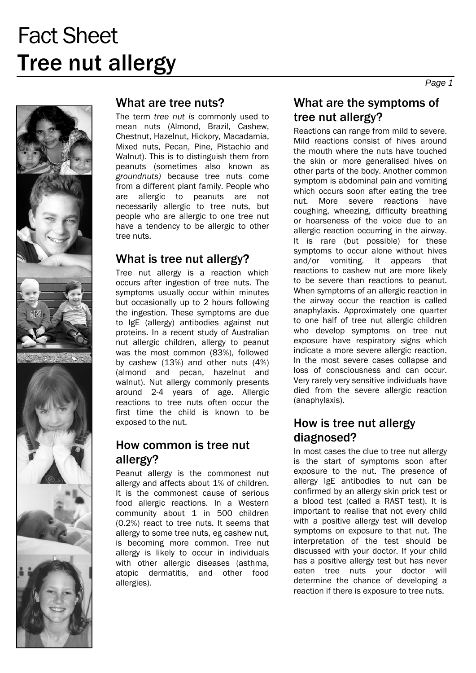

#### What are tree nuts?

The term *tree nut is* commonly used to mean nuts (Almond, Brazil, Cashew, Chestnut, Hazelnut, Hickory, Macadamia, Mixed nuts, Pecan, Pine, Pistachio and Walnut). This is to distinguish them from peanuts (sometimes also known as *groundnuts)* because tree nuts come from a different plant family. People who are allergic to peanuts are not necessarily allergic to tree nuts, but people who are allergic to one tree nut have a tendency to be allergic to other tree nuts.

#### What is tree nut allergy?

Tree nut allergy is a reaction which occurs after ingestion of tree nuts. The symptoms usually occur within minutes but occasionally up to 2 hours following the ingestion. These symptoms are due to IgE (allergy) antibodies against nut proteins. In a recent study of Australian nut allergic children, allergy to peanut was the most common (83%), followed by cashew (13%) and other nuts (4%) (almond and pecan, hazelnut and walnut). Nut allergy commonly presents around 2-4 years of age. Allergic reactions to tree nuts often occur the first time the child is known to be exposed to the nut.

### How common is tree nut allergy?

Peanut allergy is the commonest nut allergy and affects about 1% of children. It is the commonest cause of serious food allergic reactions. In a Western community about 1 in 500 children (0.2%) react to tree nuts. It seems that allergy to some tree nuts, eg cashew nut, is becoming more common. Tree nut allergy is likely to occur in individuals with other allergic diseases (asthma, atopic dermatitis, and other food allergies).

# What are the symptoms of tree nut allergy?

Reactions can range from mild to severe. Mild reactions consist of hives around the mouth where the nuts have touched the skin or more generalised hives on other parts of the body. Another common symptom is abdominal pain and vomiting which occurs soon after eating the tree nut. More severe reactions have coughing, wheezing, difficulty breathing or hoarseness of the voice due to an allergic reaction occurring in the airway. It is rare (but possible) for these symptoms to occur alone without hives and/or vomiting. It appears that reactions to cashew nut are more likely to be severe than reactions to peanut. When symptoms of an allergic reaction in the airway occur the reaction is called anaphylaxis. Approximately one quarter to one half of tree nut allergic children who develop symptoms on tree nut exposure have respiratory signs which indicate a more severe allergic reaction. In the most severe cases collapse and loss of consciousness and can occur. Very rarely very sensitive individuals have died from the severe allergic reaction (anaphylaxis).

### How is tree nut allergy diagnosed?

In most cases the clue to tree nut allergy is the start of symptoms soon after exposure to the nut. The presence of allergy IgE antibodies to nut can be confirmed by an allergy skin prick test or a blood test (called a RAST test). It is important to realise that not every child with a positive allergy test will develop symptoms on exposure to that nut. The interpretation of the test should be discussed with your doctor. If your child has a positive allergy test but has never eaten tree nuts your doctor will determine the chance of developing a reaction if there is exposure to tree nuts.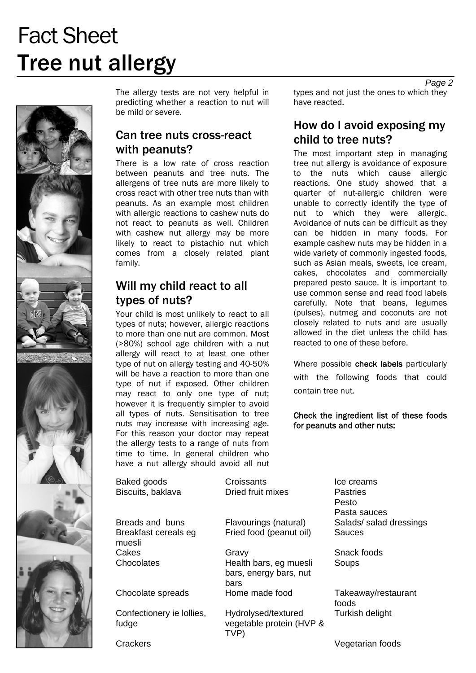# Fact Sheet Tree nut allergy



The allergy tests are not very helpful in predicting whether a reaction to nut will be mild or severe.

### Can tree nuts cross-react with peanuts?

There is a low rate of cross reaction between peanuts and tree nuts. The allergens of tree nuts are more likely to cross react with other tree nuts than with peanuts. As an example most children with allergic reactions to cashew nuts do not react to peanuts as well. Children with cashew nut allergy may be more likely to react to pistachio nut which comes from a closely related plant family.

### Will my child react to all types of nuts?

Your child is most unlikely to react to all types of nuts; however, allergic reactions to more than one nut are common. Most (>80%) school age children with a nut allergy will react to at least one other type of nut on allergy testing and 40-50% will be have a reaction to more than one type of nut if exposed. Other children may react to only one type of nut; however it is frequently simpler to avoid all types of nuts. Sensitisation to tree nuts may increase with increasing age. For this reason your doctor may repeat the allergy tests to a range of nuts from time to time. In general children who have a nut allergy should avoid all nut

Baked goods **Croissants Croissants Ice creams** Biscuits, baklava Dried fruit mixes Pastries

Breakfast cereals eg muesli Cakes Gravy Gravy Snack foods

Confectionery ie lollies, fudge

Fried food (peanut oil) Sauces

Chocolates Health bars, eg muesli bars, energy bars, nut bars Chocolate spreads Home made food Takeaway/restaurant

> Hydrolysed/textured vegetable protein (HVP & TVP)

*Page 2*  types and not just the ones to which they have reacted.

# How do I avoid exposing my child to tree nuts?

The most important step in managing tree nut allergy is avoidance of exposure to the nuts which cause allergic reactions. One study showed that a quarter of nut-allergic children were unable to correctly identify the type of nut to which they were allergic. Avoidance of nuts can be difficult as they can be hidden in many foods. For example cashew nuts may be hidden in a wide variety of commonly ingested foods, such as Asian meals, sweets, ice cream, cakes, chocolates and commercially prepared pesto sauce. It is important to use common sense and read food labels carefully. Note that beans, legumes (pulses), nutmeg and coconuts are not closely related to nuts and are usually allowed in the diet unless the child has reacted to one of these before.

Where possible check labels particularly with the following foods that could contain tree nut.

#### Check the ingredient list of these foods for peanuts and other nuts:

Pesto Pasta sauces Breads and buns Flavourings (natural) Salads/ salad dressings

**Soups** 

foods Turkish delight

Crackers Vegetarian foods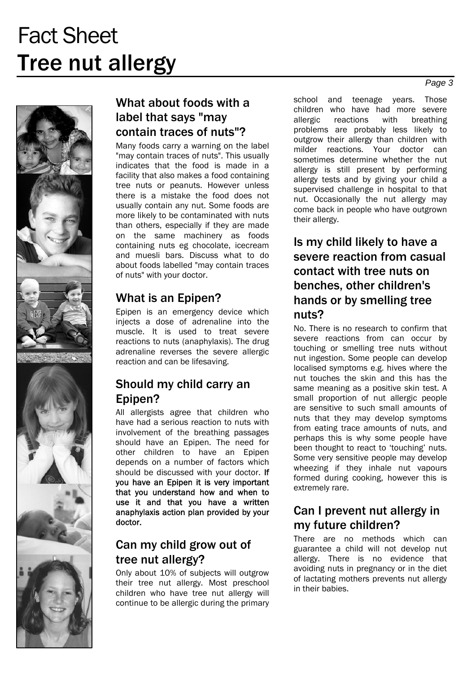# Fact Sheet Tree nut allergy



# What about foods with a label that says "may contain traces of nuts"?

Many foods carry a warning on the label "may contain traces of nuts". This usually indicates that the food is made in a facility that also makes a food containing tree nuts or peanuts. However unless there is a mistake the food does not usually contain any nut. Some foods are more likely to be contaminated with nuts than others, especially if they are made on the same machinery as foods containing nuts eg chocolate, icecream and muesli bars. Discuss what to do about foods labelled "may contain traces of nuts" with your doctor.

# What is an Epipen?

Epipen is an emergency device which injects a dose of adrenaline into the muscle. It is used to treat severe reactions to nuts (anaphylaxis). The drug adrenaline reverses the severe allergic reaction and can be lifesaving.

### Should my child carry an Epipen?

All allergists agree that children who have had a serious reaction to nuts with involvement of the breathing passages should have an Epipen. The need for other children to have an Epipen depends on a number of factors which should be discussed with your doctor. If you have an Epipen it is very important that you understand how and when to use it and that you have a written anaphylaxis action plan provided by your doctor.

# Can my child grow out of tree nut allergy?

Only about 10% of subjects will outgrow their tree nut allergy. Most preschool children who have tree nut allergy will continue to be allergic during the primary

school and teenage years. Those children who have had more severe allergic reactions with breathing problems are probably less likely to outgrow their allergy than children with milder reactions. Your doctor can sometimes determine whether the nut allergy is still present by performing allergy tests and by giving your child a supervised challenge in hospital to that nut. Occasionally the nut allergy may come back in people who have outgrown their allergy.

# Is my child likely to have a severe reaction from casual contact with tree nuts on benches, other children's hands or by smelling tree nuts?

No. There is no research to confirm that severe reactions from can occur by touching or smelling tree nuts without nut ingestion. Some people can develop localised symptoms e.g. hives where the nut touches the skin and this has the same meaning as a positive skin test. A small proportion of nut allergic people are sensitive to such small amounts of nuts that they may develop symptoms from eating trace amounts of nuts, and perhaps this is why some people have been thought to react to 'touching' nuts. Some very sensitive people may develop wheezing if they inhale nut vapours formed during cooking, however this is extremely rare.

# Can I prevent nut allergy in my future children?

There are no methods which can guarantee a child will not develop nut allergy. There is no evidence that avoiding nuts in pregnancy or in the diet of lactating mothers prevents nut allergy in their babies.

*Page 3*